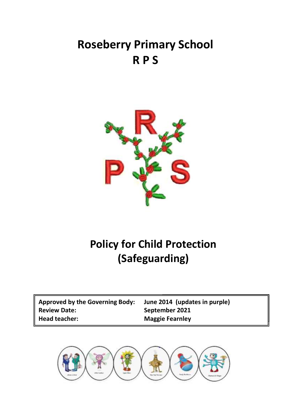# **Roseberry Primary School R P S**



# **Policy for Child Protection (Safeguarding)**

| <b>Approved by the Governing Body:</b> |
|----------------------------------------|
| <b>Review Date:</b>                    |
| <b>Head teacher:</b>                   |

**Approved by the Governing Body: June 2014 (updates in purple) Review Date: September 2021 Maggie Fearnley** 

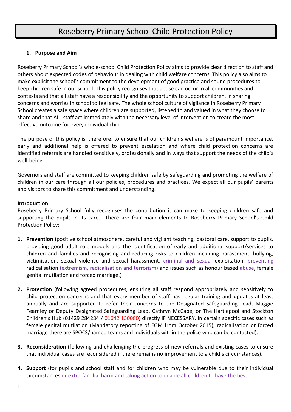# Roseberry Primary School Child Protection Policy

# **1. Purpose and Aim**

Roseberry Primary School's whole-school Child Protection Policy aims to provide clear direction to staff and others about expected codes of behaviour in dealing with child welfare concerns. This policy also aims to make explicit the school's commitment to the development of good practice and sound procedures to keep children safe in our school. This policy recognises that abuse can occur in all communities and contexts and that all staff have a responsibility and the opportunity to support children, in sharing concerns and worries in school to feel safe. The whole school culture of vigilance in Roseberry Primary School creates a safe space where children are supported, listened to and valued in what they choose to share and that ALL staff act immediately with the necessary level of intervention to create the most effective outcome for every individual child.

The purpose of this policy is, therefore, to ensure that our children's welfare is of paramount importance, early and additional help is offered to prevent escalation and where child protection concerns are identified referrals are handled sensitively, professionally and in ways that support the needs of the child's well-being.

Governors and staff are committed to keeping children safe by safeguarding and promoting the welfare of children in our care through all our policies, procedures and practices. We expect all our pupils' parents and visitors to share this commitment and understanding.

# **Introduction**

Roseberry Primary School fully recognises the contribution it can make to keeping children safe and supporting the pupils in its care. There are four main elements to Roseberry Primary School's Child Protection Policy:

- **1. Prevention** (positive school atmosphere, careful and vigilant teaching, pastoral care, support to pupils, providing good adult role models and the identification of early and additional support/services to children and families and recognising and reducing risks to children including harassment, bullying, victimisation, sexual violence and sexual harassment, criminal and sexual exploitation, preventing radicalisation (extremism, radicalisation and terrorism) and issues such as honour based abuse, female genital mutilation and forced marriage.)
- **2. Protection** (following agreed procedures, ensuring all staff respond appropriately and sensitively to child protection concerns and that every member of staff has regular training and updates at least annually and are supported to refer their concerns to the Designated Safeguarding Lead, Maggie Fearnley or Deputy Designated Safeguarding Lead, Cathryn McCabe, or The Hartlepool and Stockton Children's Hub (01429 284284 / 01642 130080) directly IF NECESSARY. In certain specific cases such as female genital mutilation (Mandatory reporting of FGM from October 2015), radicalisation or forced marriage there are SPOCS/named teams and individuals within the police who can be contacted).
- **3. Reconsideration** (following and challenging the progress of new referrals and existing cases to ensure that individual cases are reconsidered if there remains no improvement to a child's circumstances).
- **4. Support** (for pupils and school staff and for children who may be vulnerable due to their individual circumstances or extra-familial harm and taking action to enable all children to have the best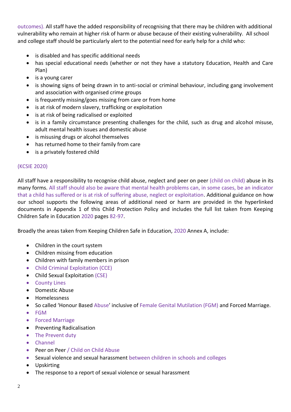outcomes). All staff have the added responsibility of recognising that there may be children with additional vulnerability who remain at higher risk of harm or abuse because of their existing vulnerability. All school and college staff should be particularly alert to the potential need for early help for a child who:

- is disabled and has specific additional needs
- has special educational needs (whether or not they have a statutory Education, Health and Care Plan)
- is a young carer
- is showing signs of being drawn in to anti-social or criminal behaviour, including gang involvement and association with organised crime groups
- is frequently missing/goes missing from care or from home
- is at risk of modern slavery, trafficking or exploitation
- is at risk of being radicalised or exploited
- is in a family circumstance presenting challenges for the child, such as drug and alcohol misuse, adult mental health issues and domestic abuse
- is misusing drugs or alcohol themselves
- has returned home to their family from care
- is a privately fostered child

### (KCSIE 2020)

All staff have a responsibility to recognise child abuse, neglect and peer on peer (child on child) abuse in its many forms. All staff should also be aware that mental health problems can, in some cases, be an indicator that a child has suffered or is at risk of suffering abuse, neglect or exploitation. Additional guidance on how our school supports the following areas of additional need or harm are provided in the hyperlinked documents in Appendix 1 of this Child Protection Policy and includes the full list taken from Keeping Children Safe in Education 2020 pages 82-97.

Broadly the areas taken from Keeping Children Safe in Education, 2020 Annex A, include:

- Children in the court system
- Children missing from education
- Children with family members in prison
- Child Criminal Exploitation (CCE)
- Child Sexual Exploitation (CSE)
- County Lines
- Domestic Abuse
- Homelessness
- So called 'Honour Based Abuse' inclusive of Female Genital Mutilation (FGM) and Forced Marriage.
- FGM
- **•** Forced Marriage
- Preventing Radicalisation
- The Prevent duty
- Channel
- Peer on Peer / Child on Child Abuse
- Sexual violence and sexual harassment between children in schools and colleges
- Upskirting
- The response to a report of sexual violence or sexual harassment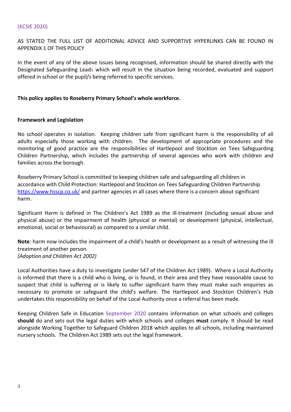#### (KCSIE 2020)

AS STATED THE FULL LIST OF ADDITIONAL ADVICE AND SUPPORTIVE HYPERLINKS CAN BE FOUND IN APPENDIX 1 OF THIS POLICY

In the event of any of the above issues being recognised, information should be shared directly with the Designated Safeguarding Leads which will result in the situation being recorded, evaluated and support offered in school or the pupil/s being referred to specific services.

#### **This policy applies to Roseberry Primary School's whole workforce.**

#### **Framework and Legislation**

No school operates in isolation. Keeping children safe from significant harm is the responsibility of all adults especially those working with children. The development of appropriate procedures and the monitoring of good practice are the responsibilities of Hartlepool and Stockton on Tees Safeguarding Children Partnership, which includes the partnership of several agencies who work with children and families across the borough.

Roseberry Primary School is committed to keeping children safe and safeguarding all children in accordance with Child Protection: Hartlepool and Stockton on Tees Safeguarding Children Partnership <https://www.hsscp.co.uk/> and partner agencies in all cases where there is a concern about significant harm.

Significant Harm is defined in The Children's Act 1989 as the ill-treatment (including sexual abuse and physical abuse) or the impairment of health (physical or mental) or development (physical, intellectual, emotional, social or behavioural) as compared to a similar child.

**Note**: harm now includes the impairment of a child's health or development as a result of witnessing the ill treatment of another person. *(Adoption and Children Act 2002)*

Local Authorities have a duty to investigate (under S47 of the Children Act 1989). Where a Local Authority is informed that there is a child who is living, or is found, in their area and they have reasonable cause to suspect that child is suffering or is likely to suffer significant harm they must make such enquiries as necessary to promote or safeguard the child's welfare. The Hartlepool and Stockton Children's Hub undertakes this responsibility on behalf of the Local Authority once a referral has been made.

Keeping Children Safe in Education September 2020 contains information on what schools and colleges **should** do and sets out the legal duties with which schools and colleges **must** comply. It should be read alongside Working Together to Safeguard Children 2018 which applies to all schools, including maintained nursery schools. The Children Act 1989 sets out the legal framework.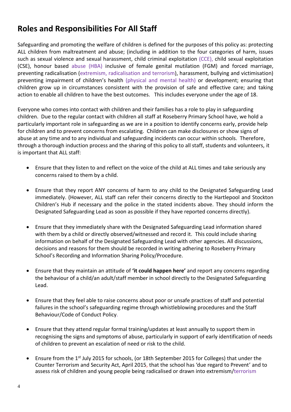# **Roles and Responsibilities For All Staff**

Safeguarding and promoting the welfare of children is defined for the purposes of this policy as: protecting ALL children from maltreatment and abuse; (including in addition to the four categories of harm, issues such as sexual violence and sexual harassment, child criminal exploitation (CCE), child sexual exploitation (CSE), honour based abuse (HBA) inclusive of female genital mutilation (FGM) and forced marriage, preventing radicalisation (extremism, radicalisation and terrorism), harassment, bullying and victimisation) preventing impairment of children's health (physical and mental health) or development; ensuring that children grow up in circumstances consistent with the provision of safe and effective care; and taking action to enable all children to have the best outcomes. This includes everyone under the age of 18.

Everyone who comes into contact with children and their families has a role to play in safeguarding children. Due to the regular contact with children all staff at Roseberry Primary School have, we hold a particularly important role in safeguarding as we are in a position to identify concerns early, provide help for children and to prevent concerns from escalating. Children can make disclosures or show signs of abuse at any time and to any individual and safeguarding incidents can occur within schools. Therefore, through a thorough induction process and the sharing of this policy to all staff, students and volunteers, it is important that ALL staff:

- Ensure that they listen to and reflect on the voice of the child at ALL times and take seriously any concerns raised to them by a child.
- Ensure that they report ANY concerns of harm to any child to the Designated Safeguarding Lead immediately. (However, ALL staff can refer their concerns directly to the Hartlepool and Stockton Children's Hub if necessary and the police in the stated incidents above. They should inform the Designated Safeguarding Lead as soon as possible if they have reported concerns directly).
- Ensure that they immediately share with the Designated Safeguarding Lead information shared with them by a child or directly observed/witnessed and record it. This could include sharing information on behalf of the Designated Safeguarding Lead with other agencies. All discussions, decisions and reasons for them should be recorded in writing adhering to Roseberry Primary School's Recording and Information Sharing Policy/Procedure.
- Ensure that they maintain an attitude of **'it could happen here'** and report any concerns regarding the behaviour of a child/an adult/staff member in school directly to the Designated Safeguarding Lead.
- Ensure that they feel able to raise concerns about poor or unsafe practices of staff and potential failures in the school's safeguarding regime through whistleblowing procedures and the Staff Behaviour/Code of Conduct Policy.
- Ensure that they attend regular formal training/updates at least annually to support them in recognising the signs and symptoms of abuse, particularly in support of early identification of needs of children to prevent an escalation of need or risk to the child.
- Ensure from the 1<sup>st</sup> July 2015 for schools, (or 18th September 2015 for Colleges) that under the Counter Terrorism and Security Act, April 2015, that the school has 'due regard to Prevent' and to assess risk of children and young people being radicalised or drawn into extremism/terrorism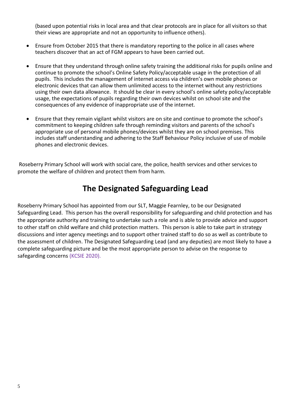(based upon potential risks in local area and that clear protocols are in place for all visitors so that their views are appropriate and not an opportunity to influence others).

- Ensure from October 2015 that there is mandatory reporting to the police in all cases where teachers discover that an act of FGM appears to have been carried out.
- Ensure that they understand through online safety training the additional risks for pupils online and continue to promote the school's Online Safety Policy/acceptable usage in the protection of all pupils. This includes the management of internet access via children's own mobile phones or electronic devices that can allow them unlimited access to the internet without any restrictions using their own data allowance. It should be clear in every school's online safety policy/acceptable usage, the expectations of pupils regarding their own devices whilst on school site and the consequences of any evidence of inappropriate use of the internet.
- Ensure that they remain vigilant whilst visitors are on site and continue to promote the school's commitment to keeping children safe through reminding visitors and parents of the school's appropriate use of personal mobile phones/devices whilst they are on school premises. This includes staff understanding and adhering to the Staff Behaviour Policy inclusive of use of mobile phones and electronic devices.

Roseberry Primary School will work with social care, the police, health services and other services to promote the welfare of children and protect them from harm.

# **The Designated Safeguarding Lead**

Roseberry Primary School has appointed from our SLT, Maggie Fearnley, to be our Designated Safeguarding Lead. This person has the overall responsibility for safeguarding and child protection and has the appropriate authority and training to undertake such a role and is able to provide advice and support to other staff on child welfare and child protection matters. This person is able to take part in strategy discussions and inter agency meetings and to support other trained staff to do so as well as contribute to the assessment of children. The Designated Safeguarding Lead (and any deputies) are most likely to have a complete safeguarding picture and be the most appropriate person to advise on the response to safegarding concerns (KCSIE 2020).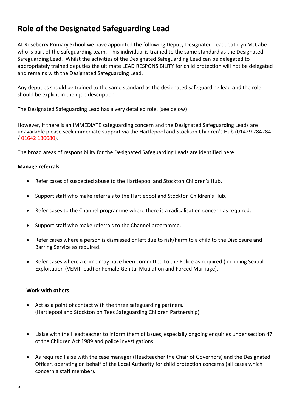# **Role of the Designated Safeguarding Lead**

At Roseberry Primary School we have appointed the following Deputy Designated Lead, Cathryn McCabe who is part of the safeguarding team. This individual is trained to the same standard as the Designated Safeguarding Lead. Whilst the activities of the Designated Safeguarding Lead can be delegated to appropriately trained deputies the ultimate LEAD RESPONSIBILITY for child protection will not be delegated and remains with the Designated Safeguarding Lead.

Any deputies should be trained to the same standard as the designated safeguarding lead and the role should be explicit in their job description.

The Designated Safeguarding Lead has a very detailed role, (see below)

However, if there is an IMMEDIATE safeguarding concern and the Designated Safeguarding Leads are unavailable please seek immediate support via the Hartlepool and Stockton Children's Hub (01429 284284 / 01642 130080).

The broad areas of responsibility for the Designated Safeguarding Leads are identified here:

# **Manage referrals**

- Refer cases of suspected abuse to the Hartlepool and Stockton Children's Hub.
- Support staff who make referrals to the Hartlepool and Stockton Children's Hub.
- Refer cases to the Channel programme where there is a radicalisation concern as required.
- Support staff who make referrals to the Channel programme.
- Refer cases where a person is dismissed or left due to risk/harm to a child to the Disclosure and Barring Service as required.
- Refer cases where a crime may have been committed to the Police as required (including Sexual Exploitation (VEMT lead) or Female Genital Mutilation and Forced Marriage).

### **Work with others**

- Act as a point of contact with the three safeguarding partners. (Hartlepool and Stockton on Tees Safeguarding Children Partnership)
- Liaise with the Headteacher to inform them of issues, especially ongoing enquiries under section 47 of the Children Act 1989 and police investigations.
- As required liaise with the case manager (Headteacher the Chair of Governors) and the Designated Officer, operating on behalf of the Local Authority for child protection concerns (all cases which concern a staff member).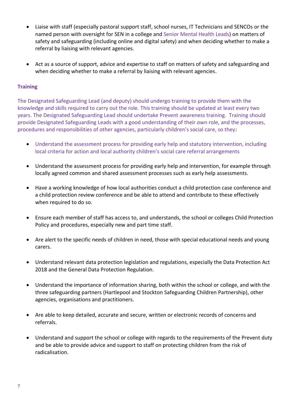- Liaise with staff (especially pastoral support staff, school nurses, IT Technicians and SENCOs or the named person with oversight for SEN in a college and Senior Mental Health Leads) on matters of safety and safeguarding (including online and digital safety) and when deciding whether to make a referral by liaising with relevant agencies.
- Act as a source of support, advice and expertise to staff on matters of safety and safeguarding and when deciding whether to make a referral by liaising with relevant agencies.

### **Training**

The Designated Safeguarding Lead (and deputy) should undergo training to provide them with the knowledge and skills required to carry out the role. This training should be updated at least every two years. The Designated Safeguarding Lead should undertake Prevent awareness training. Training should provide Designated Safeguarding Leads with a good understanding of their own role, and the processes, procedures and responsibilities of other agencies, particularly children's social care, so they:

- Understand the assessment process for providing early help and statutory intervention, including local criteria for action and local authority children's social care referral arrangements
- Understand the assessment process for providing early help and intervention, for example through locally agreed common and shared assessment processes such as early help assessments.
- Have a working knowledge of how local authorities conduct a child protection case conference and a child protection review conference and be able to attend and contribute to these effectively when required to do so.
- Ensure each member of staff has access to, and understands, the school or colleges Child Protection Policy and procedures, especially new and part time staff.
- Are alert to the specific needs of children in need, those with special educational needs and young carers.
- Understand relevant data protection legislation and regulations, especially the Data Protection Act 2018 and the General Data Protection Regulation.
- Understand the importance of information sharing, both within the school or college, and with the three safeguarding partners (Hartlepool and Stockton Safeguarding Children Partnership), other agencies, organisations and practitioners.
- Are able to keep detailed, accurate and secure, written or electronic records of concerns and referrals.
- Understand and support the school or college with regards to the requirements of the Prevent duty and be able to provide advice and support to staff on protecting children from the risk of radicalisation.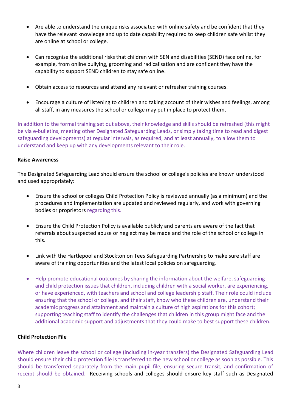- Are able to understand the unique risks associated with online safety and be confident that they have the relevant knowledge and up to date capability required to keep children safe whilst they are online at school or college.
- Can recognise the additional risks that children with SEN and disabilities (SEND) face online, for example, from online bullying, grooming and radicalisation and are confident they have the capability to support SEND children to stay safe online.
- Obtain access to resources and attend any relevant or refresher training courses.
- Encourage a culture of listening to children and taking account of their wishes and feelings, among all staff, in any measures the school or college may put in place to protect them.

In addition to the formal training set out above, their knowledge and skills should be refreshed (this might be via e-bulletins, meeting other Designated Safeguarding Leads, or simply taking time to read and digest safeguarding developments) at regular intervals, as required, and at least annually, to allow them to understand and keep up with any developments relevant to their role.

### **Raise Awareness**

The Designated Safeguarding Lead should ensure the school or college's policies are known understood and used appropriately:

- Ensure the school or colleges Child Protection Policy is reviewed annually (as a minimum) and the procedures and implementation are updated and reviewed regularly, and work with governing bodies or proprietors regarding this.
- Ensure the Child Protection Policy is available publicly and parents are aware of the fact that referrals about suspected abuse or neglect may be made and the role of the school or college in this.
- Link with the Hartlepool and Stockton on Tees Safeguarding Partnership to make sure staff are aware of training opportunities and the latest local policies on safeguarding.
- Help promote educational outcomes by sharing the information about the welfare, safeguarding and child protection issues that children, including children with a social worker, are experiencing, or have experienced, with teachers and school and college leadership staff. Their role could include ensuring that the school or college, and their staff, know who these children are, understand their academic progress and attainment and maintain a culture of high aspirations for this cohort; supporting teaching staff to identify the challenges that children in this group might face and the additional academic support and adjustments that they could make to best support these children.

# **Child Protection File**

Where children leave the school or college (including in-year transfers) the Designated Safeguarding Lead should ensure their child protection file is transferred to the new school or college as soon as possible. This should be transferred separately from the main pupil file, ensuring secure transit, and confirmation of receipt should be obtained. Receiving schools and colleges should ensure key staff such as Designated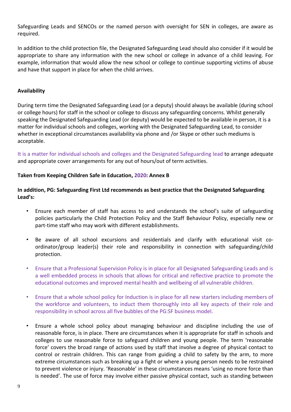Safeguarding Leads and SENCOs or the named person with oversight for SEN in colleges, are aware as required.

In addition to the child protection file, the Designated Safeguarding Lead should also consider if it would be appropriate to share any information with the new school or college in advance of a child leaving. For example, information that would allow the new school or college to continue supporting victims of abuse and have that support in place for when the child arrives.

### **Availability**

During term time the Designated Safeguarding Lead (or a deputy) should always be available (during school or college hours) for staff in the school or college to discuss any safeguarding concerns. Whilst generally speaking the Designated Safeguarding Lead (or deputy) would be expected to be available in person, it is a matter for individual schools and colleges, working with the Designated Safeguarding Lead, to consider whether in exceptional circumstances availability via phone and /or Skype or other such mediums is acceptable.

It is a matter for individual schools and colleges and the Designated Safeguarding lead to arrange adequate and appropriate cover arrangements for any out of hours/out of term activities.

### **Taken from Keeping Children Safe in Education, 2020: Annex B**

# **In addition, PG: Safeguarding First Ltd recommends as best practice that the Designated Safeguarding Lead's:**

- Ensure each member of staff has access to and understands the school's suite of safeguarding policies particularly the Child Protection Policy and the Staff Behaviour Policy, especially new or part-time staff who may work with different establishments.
- Be aware of all school excursions and residentials and clarify with educational visit coordinator/group leader(s) their role and responsibility in connection with safeguarding/child protection.
- Ensure that a Professional Supervision Policy is in place for all Designated Safeguarding Leads and is a well embedded process in schools that allows for critical and reflective practice to promote the educational outcomes and improved mental health and wellbeing of all vulnerable children.
- Ensure that a whole school policy for Induction is in place for all new starters including members of the workforce and volunteers, to induct them thoroughly into all key aspects of their role and responsibility in school across all five bubbles of the PG:SF business model.
- Ensure a whole school policy about managing behaviour and discipline including the use of reasonable force, is in place. There are circumstances when it is appropriate for staff in schools and colleges to use reasonable force to safeguard children and young people. The term 'reasonable force' covers the broad range of actions used by staff that involve a degree of physical contact to control or restrain children. This can range from guiding a child to safety by the arm, to more extreme circumstances such as breaking up a fight or where a young person needs to be restrained to prevent violence or injury. 'Reasonable' in these circumstances means 'using no more force than is needed'. The use of force may involve either passive physical contact, such as standing between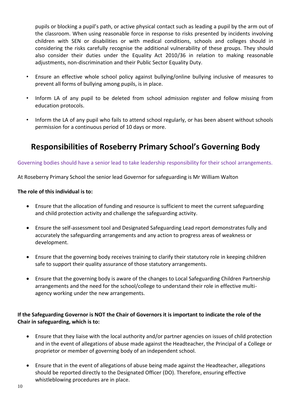pupils or blocking a pupil's path, or active physical contact such as leading a pupil by the arm out of the classroom. When using reasonable force in response to risks presented by incidents involving children with SEN or disabilities or with medical conditions, schools and colleges should in considering the risks carefully recognise the additional vulnerability of these groups. They should also consider their duties under the Equality Act 2010/36 in relation to making reasonable adjustments, non-discrimination and their Public Sector Equality Duty.

- Ensure an effective whole school policy against bullying/online bullying inclusive of measures to prevent all forms of bullying among pupils, is in place.
- Inform LA of any pupil to be deleted from school admission register and follow missing from education protocols.
- Inform the LA of any pupil who fails to attend school regularly, or has been absent without schools permission for a continuous period of 10 days or more.

# **Responsibilities of Roseberry Primary School's Governing Body**

### Governing bodies should have a senior lead to take leadership responsibility for their school arrangements.

At Roseberry Primary School the senior lead Governor for safeguarding is Mr William Walton

### **The role of this individual is to:**

- Ensure that the allocation of funding and resource is sufficient to meet the current safeguarding and child protection activity and challenge the safeguarding activity.
- Ensure the self-assessment tool and Designated Safeguarding Lead report demonstrates fully and accurately the safeguarding arrangements and any action to progress areas of weakness or development.
- Ensure that the governing body receives training to clarify their statutory role in keeping children safe to support their quality assurance of those statutory arrangements.
- Ensure that the governing body is aware of the changes to Local Safeguarding Children Partnership arrangements and the need for the school/college to understand their role in effective multiagency working under the new arrangements.

# **If the Safeguarding Governor is NOT the Chair of Governors it is important to indicate the role of the Chair in safeguarding, which is to:**

- Ensure that they liaise with the local authority and/or partner agencies on issues of child protection and in the event of allegations of abuse made against the Headteacher, the Principal of a College or proprietor or member of governing body of an independent school.
- Ensure that in the event of allegations of abuse being made against the Headteacher, allegations should be reported directly to the Designated Officer (DO). Therefore, ensuring effective whistleblowing procedures are in place.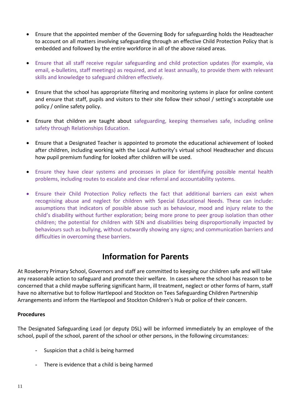- Ensure that the appointed member of the Governing Body for safeguarding holds the Headteacher to account on all matters involving safeguarding through an effective Child Protection Policy that is embedded and followed by the entire workforce in all of the above raised areas.
- Ensure that all staff receive regular safeguarding and child protection updates (for example, via email, e-bulletins, staff meetings) as required, and at least annually, to provide them with relevant skills and knowledge to safeguard children effectively.
- Ensure that the school has appropriate filtering and monitoring systems in place for online content and ensure that staff, pupils and visitors to their site follow their school / setting's acceptable use policy / online safety policy.
- Ensure that children are taught about safeguarding, keeping themselves safe, including online safety through Relationships Education.
- Ensure that a Designated Teacher is appointed to promote the educational achievement of looked after children, including working with the Local Authority's virtual school Headteacher and discuss how pupil premium funding for looked after children will be used.
- Ensure they have clear systems and processes in place for identifying possible mental health problems, including routes to escalate and clear referral and accountability systems.
- Ensure their Child Protection Policy reflects the fact that additional barriers can exist when recognising abuse and neglect for children with Special Educational Needs. These can include: assumptions that indicators of possible abuse such as behaviour, mood and injury relate to the child's disability without further exploration; being more prone to peer group isolation than other children; the potential for children with SEN and disabilities being disproportionally impacted by behaviours such as bullying, without outwardly showing any signs; and communication barriers and difficulties in overcoming these barriers.

# **Information for Parents**

At Roseberry Primary School, Governors and staff are committed to keeping our children safe and will take any reasonable action to safeguard and promote their welfare. In cases where the school has reason to be concerned that a child maybe suffering significant harm, ill treatment, neglect or other forms of harm, staff have no alternative but to follow Hartlepool and Stockton on Tees Safeguarding Children Partnership Arrangements and inform the Hartlepool and Stockton Children's Hub or police of their concern.

# **Procedures**

The Designated Safeguarding Lead (or deputy DSL) will be informed immediately by an employee of the school, pupil of the school, parent of the school or other persons, in the following circumstances:

- Suspicion that a child is being harmed
- There is evidence that a child is being harmed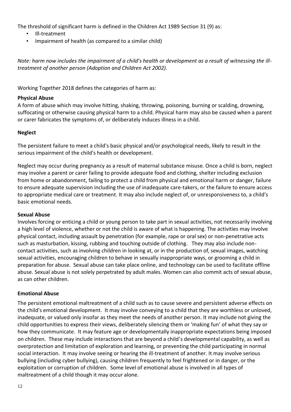The threshold of significant harm is defined in the Children Act 1989 Section 31 (9) as:

- Ill-treatment
- Impairment of health (as compared to a similar child)

*Note: harm now includes the impairment of a child's health or development as a result of witnessing the illtreatment of another person (Adoption and Children Act 2002).*

Working Together 2018 defines the categories of harm as:

### **Physical Abuse**

A form of abuse which may involve hitting, shaking, throwing, poisoning, burning or scalding, drowning, suffocating or otherwise causing physical harm to a child. Physical harm may also be caused when a parent or carer fabricates the symptoms of, or deliberately induces illness in a child.

### **Neglect**

The persistent failure to meet a child's basic physical and/or psychological needs, likely to result in the serious impairment of the child's health or development.

Neglect may occur during pregnancy as a result of maternal substance misuse. Once a child is born, neglect may involve a parent or carer failing to provide adequate food and clothing, shelter including exclusion from home or abandonment, failing to protect a child from physical and emotional harm or danger, failure to ensure adequate supervision including the use of inadequate care-takers, or the failure to ensure access to appropriate medical care or treatment. It may also include neglect of, or unresponsiveness to, a child's basic emotional needs.

### **Sexual Abuse**

Involves forcing or enticing a child or young person to take part in sexual activities, not necessarily involving a high level of violence, whether or not the child is aware of what is happening. The activities may involve physical contact, including assault by penetration (for example, rape or oral sex) or non-penetrative acts such as masturbation, kissing, rubbing and touching outside of clothing. They may also include noncontact activities, such as involving children in looking at, or in the production of, sexual images, watching sexual activities, encouraging children to behave in sexually inappropriate ways, or grooming a child in preparation for abuse. Sexual abuse can take place online, and technology can be used to facilitate offline abuse. Sexual abuse is not solely perpetrated by adult males. Women can also commit acts of sexual abuse, as can other children.

### **Emotional Abuse**

The persistent emotional maltreatment of a child such as to cause severe and persistent adverse effects on the child's emotional development. It may involve conveying to a child that they are worthless or unloved, inadequate, or valued only insofar as they meet the needs of another person. It may include not giving the child opportunities to express their views, deliberately silencing them or 'making fun' of what they say or how they communicate. It may feature age or developmentally inappropriate expectations being imposed on children. These may include interactions that are beyond a child's developmental capability, as well as overprotection and limitation of exploration and learning, or preventing the child participating in normal social interaction. It may involve seeing or hearing the ill-treatment of another. It may involve serious bullying (including cyber bullying), causing children frequently to feel frightened or in danger, or the exploitation or corruption of children. Some level of emotional abuse is involved in all types of maltreatment of a child though it may occur alone.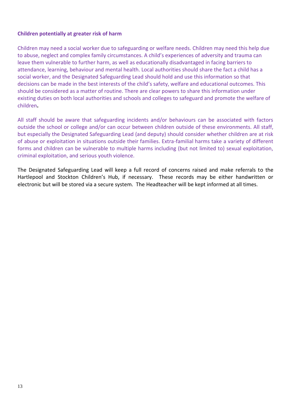### **Children potentially at greater risk of harm**

Children may need a social worker due to safeguarding or welfare needs. Children may need this help due to abuse, neglect and complex family circumstances. A child's experiences of adversity and trauma can leave them vulnerable to further harm, as well as educationally disadvantaged in facing barriers to attendance, learning, behaviour and mental health. Local authorities should share the fact a child has a social worker, and the Designated Safeguarding Lead should hold and use this information so that decisions can be made in the best interests of the child's safety, welfare and educational outcomes. This should be considered as a matter of routine. There are clear powers to share this information under existing duties on both local authorities and schools and colleges to safeguard and promote the welfare of children**.** 

All staff should be aware that safeguarding incidents and/or behaviours can be associated with factors outside the school or college and/or can occur between children outside of these environments. All staff, but especially the Designated Safeguarding Lead (and deputy) should consider whether children are at risk of abuse or exploitation in situations outside their families. Extra-familial harms take a variety of different forms and children can be vulnerable to multiple harms including (but not limited to) sexual exploitation, criminal exploitation, and serious youth violence.

The Designated Safeguarding Lead will keep a full record of concerns raised and make referrals to the Hartlepool and Stockton Children's Hub, if necessary. These records may be either handwritten or electronic but will be stored via a secure system. The Headteacher will be kept informed at all times.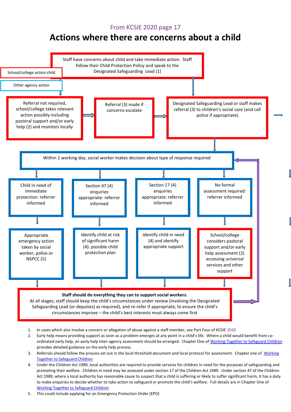# From KCSIE 2020 page 17

# **Actions where there are concerns about a child**



- 1. In cases which also involve a concern or allegation of abuse against a staff member, see Part Four of KCSIE 2020
- 2. Early help means providing support as soon as a problem emerges at any point in a child's life. Where a child would benefit from co-ordinated early help, an early help inter-agency assessment should be arranged. Chapter One of [Working Together to Safeguard Children](https://www.gov.uk/government/publications/working-together-to-safeguard-children--2) provides detailed guidance on the early help process.
- 3. Referrals should follow the process set out in the local threshold document and local protocol for assessment. Chapter one of Working [Together to Safeguard Children](https://www.gov.uk/government/publications/working-together-to-safeguard-children--2)
- 4. Under the Children Act 1989, local authorities are required to provide services for children in need for the purposes of safeguarding and promoting their welfare. Children in need may be assessed under section 17 of the Children Act 1989. Under section 47 of the Children Act 1989, where a local authority has reasonable cause to suspect that a child is suffering or likely to suffer significant harm, it has a duty to make enquiries to decide whether to take action to safeguard or promote the child's welfare. Full details are in Chapter One of [Working Together to Safeguard Children](https://www.gov.uk/government/publications/working-together-to-safeguard-children--2)
- 5. This could include applying for an Emergency Protection Order (EPO)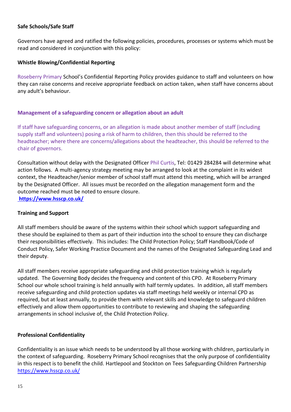# **Safe Schools/Safe Staff**

Governors have agreed and ratified the following policies, procedures, processes or systems which must be read and considered in conjunction with this policy:

### **Whistle Blowing/Confidential Reporting**

Roseberry Primary School's Confidential Reporting Policy provides guidance to staff and volunteers on how they can raise concerns and receive appropriate feedback on action taken, when staff have concerns about any adult's behaviour.

### **Management of a safeguarding concern or allegation about an adult**

If staff have safeguarding concerns, or an allegation is made about another member of staff (including supply staff and volunteers) posing a risk of harm to children, then this should be referred to the headteacher; where there are concerns/allegations about the headteacher, this should be referred to the chair of governors.

Consultation without delay with the Designated Officer Phil Curtis, Tel: 01429 284284 will determine what action follows. A multi-agency strategy meeting may be arranged to look at the complaint in its widest context, the Headteacher/senior member of school staff must attend this meeting, which will be arranged by the Designated Officer. All issues must be recorded on the allegation management form and the outcome reached must be noted to ensure closure. **<https://www.hsscp.co.uk/>**

### **Training and Support**

All staff members should be aware of the systems within their school which support safeguarding and these should be explained to them as part of their induction into the school to ensure they can discharge their responsibilities effectively. This includes: The Child Protection Policy; Staff Handbook/Code of Conduct Policy, Safer Working Practice Document and the names of the Designated Safeguarding Lead and their deputy.

All staff members receive appropriate safeguarding and child protection training which is regularly updated. The Governing Body decides the frequency and content of this CPD. At Roseberry Primary School our whole school training is held annually with half termly updates. In addition, all staff members receive safeguarding and child protection updates via staff meetings held weekly or internal CPD as required, but at least annually, to provide them with relevant skills and knowledge to safeguard children effectively and allow them opportunities to contribute to reviewing and shaping the safeguarding arrangements in school inclusive of, the Child Protection Policy.

# **Professional Confidentiality**

Confidentiality is an issue which needs to be understood by all those working with children, particularly in the context of safeguarding. Roseberry Primary School recognises that the only purpose of confidentiality in this respect is to benefit the child. Hartlepool and Stockton on Tees Safeguarding Children Partnership <https://www.hsscp.co.uk/>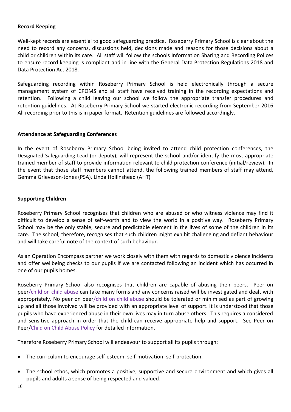### **Record Keeping**

Well-kept records are essential to good safeguarding practice. Roseberry Primary School is clear about the need to record any concerns, discussions held, decisions made and reasons for those decisions about a child or children within its care. All staff will follow the schools Information Sharing and Recording Polices to ensure record keeping is compliant and in line with the General Data Protection Regulations 2018 and Data Protection Act 2018.

Safeguarding recording within Roseberry Primary School is held electronically through a secure management system of CPOMS and all staff have received training in the recording expectations and retention. Following a child leaving our school we follow the appropriate transfer procedures and retention guidelines. At Roseberry Primary School we started electronic recording from September 2016 All recording prior to this is in paper format. Retention guidelines are followed accordingly.

### **Attendance at Safeguarding Conferences**

In the event of Roseberry Primary School being invited to attend child protection conferences, the Designated Safeguarding Lead (or deputy), will represent the school and/or identify the most appropriate trained member of staff to provide information relevant to child protection conference (initial/review). In the event that those staff members cannot attend, the following trained members of staff may attend, Gemma Grieveson-Jones (PSA), Linda Hollinshead (AHT)

### **Supporting Children**

Roseberry Primary School recognises that children who are abused or who witness violence may find it difficult to develop a sense of self-worth and to view the world in a positive way. Roseberry Primary School may be the only stable, secure and predictable element in the lives of some of the children in its care. The school, therefore, recognises that such children might exhibit challenging and defiant behaviour and will take careful note of the context of such behaviour.

As an Operation Encompass partner we work closely with them with regards to domestic violence incidents and offer wellbeing checks to our pupils if we are contacted following an incident which has occurred in one of our pupils homes.

Roseberry Primary School also recognises that children are capable of abusing their peers. Peer on peer/child on child abuse can take many forms and any concerns raised will be investigated and dealt with appropriately. No peer on peer/child on child abuse should be tolerated or minimised as part of growing up and all those involved will be provided with an appropriate level of support. It is understood that those pupils who have experienced abuse in their own lives may in turn abuse others. This requires a considered and sensitive approach in order that the child can receive appropriate help and support. See Peer on Peer/Child on Child Abuse Policy for detailed information.

Therefore Roseberry Primary School will endeavour to support all its pupils through:

- The curriculum to encourage self-esteem, self-motivation, self-protection.
- The school ethos, which promotes a positive, supportive and secure environment and which gives all pupils and adults a sense of being respected and valued.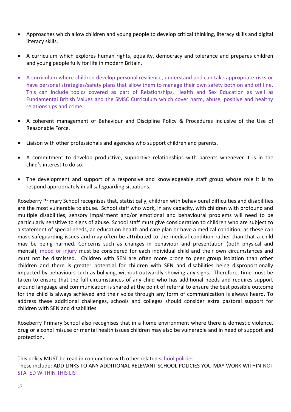- Approaches which allow children and young people to develop critical thinking, literacy skills and digital literacy skills.
- A curriculum which explores human rights, equality, democracy and tolerance and prepares children and young people fully for life in modern Britain.
- A curriculum where children develop personal resilience, understand and can take appropriate risks or have personal strategies/safety plans that allow them to manage their own safety both on and off line. This can include topics covered as part of Relationships, Health and Sex Education as well as Fundamental British Values and the SMSC Curriculum which cover harm, abuse, positive and healthy relationships and crime.
- A coherent management of Behaviour and Discipline Policy & Procedures inclusive of the Use of Reasonable Force.
- Liaison with other professionals and agencies who support children and parents.
- A commitment to develop productive, supportive relationships with parents whenever it is in the child's interest to do so.
- The development and support of a responsive and knowledgeable staff group whose role it is to respond appropriately in all safeguarding situations.

Roseberry Primary School recognises that, statistically, children with behavioural difficulties and disabilities are the most vulnerable to abuse. School staff who work, in any capacity, with children with profound and multiple disabilities, sensory impairment and/or emotional and behavioural problems will need to be particularly sensitive to signs of abuse. School staff must give consideration to children who are subject to a statement of special needs, an education health and care plan or have a medical condition, as these can mask safeguarding issues and may often be attributed to the medical condition rather than that a child may be being harmed. Concerns such as changes in behaviour and presentation (both physical and mental), mood or injury must be considered for each individual child and their own circumstances and must not be dismissed. Children with SEN are often more prone to peer group isolation than other children and there is greater potential for children with SEN and disabilities being disproportionally impacted by behaviours such as bullying, without outwardly showing any signs. Therefore, time must be taken to ensure that the full circumstances of any child who has additional needs and requires support around language and communication is shared at the point of referral to ensure the best possible outcome for the child is always achieved and their voice through any form of communication is always heard. To address these additional challenges, schools and colleges should consider extra pastoral support for children with SEN and disabilities.

Roseberry Primary School also recognises that in a home environment where there is domestic violence, drug or alcohol misuse or mental health issues children may also be vulnerable and in need of support and protection.

This policy MUST be read in conjunction with other related school policies. These include: ADD LINKS TO ANY ADDITIONAL RELEVANT SCHOOL POLICIES YOU MAY WORK WITHIN NOT STATED WITHIN THIS LIST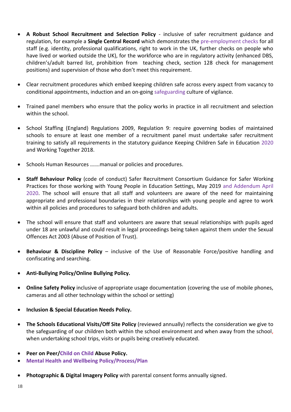- **A Robust School Recruitment and Selection Policy**  inclusive of safer recruitment guidance and regulation, for example a **Single Central Record** which demonstrates the pre-employment checks for all staff (e.g. identity, professional qualifications, right to work in the UK, further checks on people who have lived or worked outside the UK), for the workforce who are in regulatory activity (enhanced DBS, children's/adult barred list, prohibition from teaching check, section 128 check for management positions) and supervision of those who don't meet this requirement.
- Clear recruitment procedures which embed keeping children safe across every aspect from vacancy to conditional appointments, induction and an on-going safeguarding culture of vigilance.
- Trained panel members who ensure that the policy works in practice in all recruitment and selection within the school.
- School Staffing (England) Regulations 2009, Regulation 9: require governing bodies of maintained schools to ensure at least one member of a recruitment panel must undertake safer recruitment training to satisfy all requirements in the statutory guidance Keeping Children Safe in Education 2020 and Working Together 2018.
- Schools Human Resources …….manual or policies and procedures.
- **Staff Behaviour Policy** (code of conduct) Safer Recruitment Consortium Guidance for Safer Working Practices for those working with Young People in Education Settings, May 2019 and Addendum April 2020. The school will ensure that all staff and volunteers are aware of the need for maintaining appropriate and professional boundaries in their relationships with young people and agree to work within all policies and procedures to safeguard both children and adults.
- The school will ensure that staff and volunteers are aware that sexual relationships with pupils aged under 18 are unlawful and could result in legal proceedings being taken against them under the Sexual Offences Act 2003 (Abuse of Position of Trust).
- **Behaviour & Discipline Policy** inclusive of the Use of Reasonable Force/positive handling and confiscating and searching.
- **Anti-Bullying Policy/Online Bullying Policy.**
- **Online Safety Policy** inclusive of appropriate usage documentation (covering the use of mobile phones, cameras and all other technology within the school or setting)
- **Inclusion & Special Education Needs Policy.**
- **The Schools Educational Visits/Off Site Policy** (reviewed annually) reflects the consideration we give to the safeguarding of our children both within the school environment and when away from the school, when undertaking school trips, visits or pupils being creatively educated.
- **Peer on Peer/Child on Child Abuse Policy.**
- **Mental Health and Wellbeing Policy/Process/Plan**
- **Photographic & Digital Imagery Policy** with parental consent forms annually signed.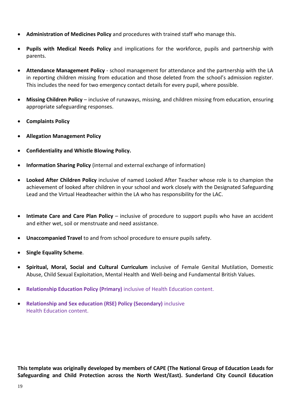- **Administration of Medicines Policy** and procedures with trained staff who manage this.
- **Pupils with Medical Needs Policy** and implications for the workforce, pupils and partnership with parents.
- **Attendance Management Policy** school management for attendance and the partnership with the LA in reporting children missing from education and those deleted from the school's admission register. This includes the need for two emergency contact details for every pupil, where possible.
- **Missing Children Policy** inclusive of runaways, missing, and children missing from education, ensuring appropriate safeguarding responses.
- **Complaints Policy**
- **Allegation Management Policy**
- **Confidentiality and Whistle Blowing Policy.**
- **Information Sharing Policy** (internal and external exchange of information)
- **Looked After Children Policy** inclusive of named Looked After Teacher whose role is to champion the achievement of looked after children in your school and work closely with the Designated Safeguarding Lead and the Virtual Headteacher within the LA who has responsibility for the LAC.
- **Intimate Care and Care Plan Policy** inclusive of procedure to support pupils who have an accident and either wet, soil or menstruate and need assistance.
- **Unaccompanied Travel** to and from school procedure to ensure pupils safety.
- **•** Single Equality Scheme.
- **Spiritual, Moral, Social and Cultural Curriculum** inclusive of Female Genital Mutilation, Domestic Abuse, Child Sexual Exploitation, Mental Health and Well-being and Fundamental British Values.
- **Relationship Education Policy (Primary)** inclusive of Health Education content.
- **Relationship and Sex education (RSE) Policy (Secondary)** inclusive Health Education content.

**This template was originally developed by members of CAPE (The National Group of Education Leads for Safeguarding and Child Protection across the North West/East). Sunderland City Council Education**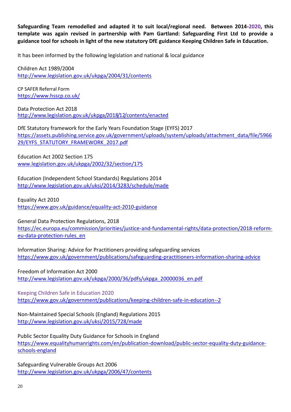**Safeguarding Team remodelled and adapted it to suit local/regional need. Between 2014-2020, this template was again revised in partnership with Pam Gartland: Safeguarding First Ltd to provide a guidance tool for schools in light of the new statutory DfE guidance Keeping Children Safe in Education.**

It has been informed by the following legislation and national & local guidance

Children Act 1989/2004 <http://www.legislation.gov.uk/ukpga/2004/31/contents>

CP SAFER Referral Form <https://www.hsscp.co.uk/>

Data Protection Act 2018 <http://www.legislation.gov.uk/ukpga/2018/12/contents/enacted>

DfE Statutory framework for the Early Years Foundation Stage (EYFS) 2017 [https://assets.publishing.service.gov.uk/government/uploads/system/uploads/attachment\\_data/file/5966](https://assets.publishing.service.gov.uk/government/uploads/system/uploads/attachment_data/file/596629/EYFS_STATUTORY_FRAMEWORK_2017.pdf) [29/EYFS\\_STATUTORY\\_FRAMEWORK\\_2017.pdf](https://assets.publishing.service.gov.uk/government/uploads/system/uploads/attachment_data/file/596629/EYFS_STATUTORY_FRAMEWORK_2017.pdf)

Education Act 2002 Section 175 [www.legislation.gov.uk/ukpga/2002/32/section/175](http://www.legislation.gov.uk/ukpga/2002/32/section/175)

Education (Independent School Standards) Regulations 2014 <http://www.legislation.gov.uk/uksi/2014/3283/schedule/made>

Equality Act 2010

<https://www.gov.uk/guidance/equality-act-2010-guidance>

General Data Protection Regulations, 2018

[https://ec.europa.eu/commission/priorities/justice-and-fundamental-rights/data-protection/2018-reform](https://ec.europa.eu/commission/priorities/justice-and-fundamental-rights/data-protection/2018-reform-eu-data-protection-rules_en)[eu-data-protection-rules\\_en](https://ec.europa.eu/commission/priorities/justice-and-fundamental-rights/data-protection/2018-reform-eu-data-protection-rules_en)

Information Sharing: Advice for Practitioners providing safeguarding services <https://www.gov.uk/government/publications/safeguarding-practitioners-information-sharing-advice>

Freedom of Information Act 2000 [http://www.legislation.gov.uk/ukpga/2000/36/pdfs/ukpga\\_20000036\\_en.pdf](http://www.legislation.gov.uk/ukpga/2000/36/pdfs/ukpga_20000036_en.pdf)

Keeping Children Safe in Education 2020 <https://www.gov.uk/government/publications/keeping-children-safe-in-education--2>

Non-Maintained Special Schools (England) Regulations 2015 <http://www.legislation.gov.uk/uksi/2015/728/made>

Public Sector Equality Duty Guidance for Schools in England [https://www.equalityhumanrights.com/en/publication-download/public-sector-equality-duty-guidance](https://www.equalityhumanrights.com/en/publication-download/public-sector-equality-duty-guidance-schools-england)[schools-england](https://www.equalityhumanrights.com/en/publication-download/public-sector-equality-duty-guidance-schools-england)

Safeguarding Vulnerable Groups Act 2006 <http://www.legislation.gov.uk/ukpga/2006/47/contents>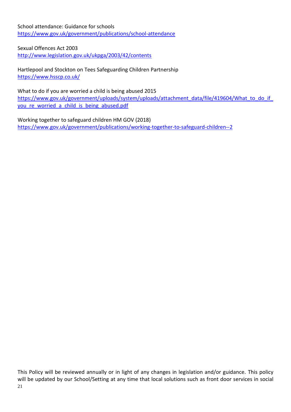School attendance: Guidance for schools <https://www.gov.uk/government/publications/school-attendance>

Sexual Offences Act 2003

<http://www.legislation.gov.uk/ukpga/2003/42/contents>

Hartlepool and Stockton on Tees Safeguarding Children Partnership <https://www.hsscp.co.uk/>

What to do if you are worried a child is being abused 2015 https://www.gov.uk/government/uploads/system/uploads/attachment\_data/file/419604/What\_to\_do\_if you re worried a child is being abused.pdf

Working together to safeguard children HM GOV (2018) <https://www.gov.uk/government/publications/working-together-to-safeguard-children--2>

21 This Policy will be reviewed annually or in light of any changes in legislation and/or guidance. This policy will be updated by our School/Setting at any time that local solutions such as front door services in social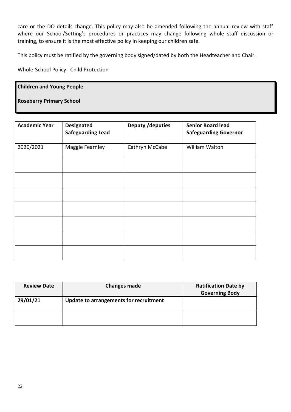care or the DO details change. This policy may also be amended following the annual review with staff where our School/Setting's procedures or practices may change following whole staff discussion or training, to ensure it is the most effective policy in keeping our children safe.

This policy must be ratified by the governing body signed/dated by both the Headteacher and Chair.

Whole-School Policy: Child Protection

#### **Children and Young People**

### **Roseberry Primary School**

| <b>Academic Year</b> | <b>Designated</b><br><b>Safeguarding Lead</b> | <b>Deputy /deputies</b> | <b>Senior Board lead</b><br><b>Safeguarding Governor</b> |
|----------------------|-----------------------------------------------|-------------------------|----------------------------------------------------------|
| 2020/2021            | Maggie Fearnley                               | Cathryn McCabe          | William Walton                                           |
|                      |                                               |                         |                                                          |
|                      |                                               |                         |                                                          |
|                      |                                               |                         |                                                          |
|                      |                                               |                         |                                                          |
|                      |                                               |                         |                                                          |
|                      |                                               |                         |                                                          |
|                      |                                               |                         |                                                          |

| <b>Review Date</b> | <b>Changes made</b>                    | <b>Ratification Date by</b><br><b>Governing Body</b> |
|--------------------|----------------------------------------|------------------------------------------------------|
| 29/01/21           | Update to arrangements for recruitment |                                                      |
|                    |                                        |                                                      |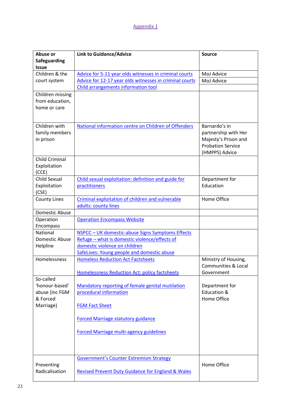### Appendix 1

| Abuse or<br><b>Safeguarding</b> | <b>Link to Guidance/Advice</b>                               | <b>Source</b>                                |
|---------------------------------|--------------------------------------------------------------|----------------------------------------------|
| <b>Issue</b>                    |                                                              |                                              |
| Children & the                  | Advice for 5-11 year olds witnesses in criminal courts       | MoJ Advice                                   |
| court system                    | Advice for 12-17 year olds witnesses in criminal courts      | MoJ Advice                                   |
|                                 | Child arrangements information tool                          |                                              |
| Children missing                |                                                              |                                              |
| from education,                 |                                                              |                                              |
| home or care                    |                                                              |                                              |
|                                 |                                                              |                                              |
| Children with                   | National information centre on Children of Offenders         | Barnardo's in                                |
| family members                  |                                                              | partnership with Her                         |
| in prison                       |                                                              | Majesty's Prison and                         |
|                                 |                                                              | <b>Probation Service</b>                     |
|                                 |                                                              | (HMPPS) Advice                               |
| <b>Child Criminal</b>           |                                                              |                                              |
| Exploitation                    |                                                              |                                              |
| (CCE)                           |                                                              |                                              |
| <b>Child Sexual</b>             | Child sexual exploitation: definition and guide for          | Department for<br>Education                  |
| Exploitation                    | practitioners                                                |                                              |
| (CSE)<br><b>County Lines</b>    | Criminal exploitation of children and vulnerable             | Home Office                                  |
|                                 | adults: county lines                                         |                                              |
| Domestic Abuse                  |                                                              |                                              |
| Operation                       | <b>Operation Encompass Website</b>                           |                                              |
| Encompass                       |                                                              |                                              |
| National                        | NSPCC - UK domestic-abuse Signs Symptoms Effects             |                                              |
| Domestic Abuse                  | Refuge - what is domestic violence/effects of                |                                              |
| Helpline                        | domestic violence on children                                |                                              |
|                                 | SafeLives: Young people and domestic abuse                   |                                              |
| Homelessness                    | <b>Homeless Reduction Act Factsheets</b>                     | Ministry of Housing,                         |
|                                 | Homelessness Reduction Act: policy factsheets                | <b>Communities &amp; Local</b><br>Government |
| So-called                       |                                                              |                                              |
| 'honour-based'                  | Mandatory reporting of female genital mutilation             | Department for                               |
| abuse (inc FGM                  | procedural information                                       | Education &                                  |
| & Forced                        |                                                              | Home Office                                  |
| Marriage)                       | <b>FGM Fact Sheet</b>                                        |                                              |
|                                 | <b>Forced Marriage statutory guidance</b>                    |                                              |
|                                 | <b>Forced Marriage multi-agency guidelines</b>               |                                              |
|                                 |                                                              |                                              |
|                                 | <b>Government's Counter Extremism Strategy</b>               |                                              |
| Preventing                      |                                                              | Home Office                                  |
| Radicalisation                  | <b>Revised Prevent Duty Guidance for England &amp; Wales</b> |                                              |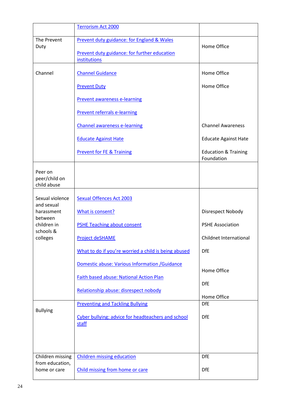|                                         | <b>Terrorism Act 2000</b>                                                                                  |                                               |
|-----------------------------------------|------------------------------------------------------------------------------------------------------------|-----------------------------------------------|
| The Prevent<br>Duty                     | Prevent duty guidance: for England & Wales<br>Prevent duty guidance: for further education<br>institutions | Home Office                                   |
| Channel                                 | <b>Channel Guidance</b>                                                                                    | Home Office                                   |
|                                         | <b>Prevent Duty</b>                                                                                        | Home Office                                   |
|                                         | <b>Prevent awareness e-learning</b>                                                                        |                                               |
|                                         | <b>Prevent referrals e-learning</b>                                                                        |                                               |
|                                         | <b>Channel awareness e-learning</b>                                                                        | <b>Channel Awareness</b>                      |
|                                         | <b>Educate Against Hate</b>                                                                                | <b>Educate Against Hate</b>                   |
|                                         | <b>Prevent for FE &amp; Training</b>                                                                       | <b>Education &amp; Training</b><br>Foundation |
| Peer on<br>peer/child on<br>child abuse |                                                                                                            |                                               |
| Sexual violence                         | <b>Sexual Offences Act 2003</b>                                                                            |                                               |
| and sexual<br>harassment                | What is consent?                                                                                           | Disrespect Nobody                             |
| between<br>children in                  | <b>PSHE Teaching about consent</b>                                                                         | <b>PSHE Association</b>                       |
| schools &<br>colleges                   | <b>Project deSHAME</b>                                                                                     | Childnet International                        |
|                                         | What to do if you're worried a child is being abused                                                       | <b>DfE</b>                                    |
|                                         | Domestic abuse: Various Information / Guidance                                                             | Home Office                                   |
|                                         | <b>Faith based abuse: National Action Plan</b>                                                             | <b>DfE</b>                                    |
|                                         | Relationship abuse: disrespect nobody                                                                      | Home Office                                   |
| <b>Bullying</b>                         | <b>Preventing and Tackling Bullying</b>                                                                    | <b>DfE</b>                                    |
|                                         | Cyber bullying: advice for headteachers and school<br><b>staff</b>                                         | <b>DfE</b>                                    |
|                                         |                                                                                                            |                                               |
| Children missing<br>from education,     | <b>Children missing education</b>                                                                          | <b>DfE</b>                                    |
| home or care                            | Child missing from home or care                                                                            | <b>DfE</b>                                    |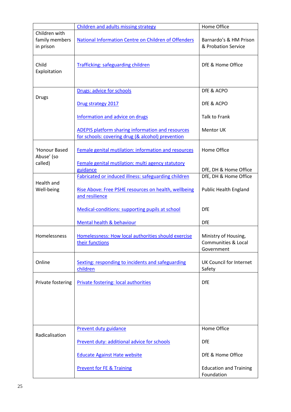|                                              | Children and adults missing strategy                                                                          | Home Office                                               |
|----------------------------------------------|---------------------------------------------------------------------------------------------------------------|-----------------------------------------------------------|
| Children with<br>family members<br>in prison | National Information Centre on Children of Offenders                                                          | Barnardo's & HM Prison<br>& Probation Service             |
| Child<br>Exploitation                        | <b>Trafficking: safeguarding children</b>                                                                     | DfE & Home Office                                         |
|                                              | Drugs: advice for schools                                                                                     | DfE & ACPO                                                |
| <b>Drugs</b>                                 | Drug strategy 2017                                                                                            | DfE & ACPO                                                |
|                                              | Information and advice on drugs                                                                               | <b>Talk to Frank</b>                                      |
|                                              | <b>ADEPIS platform sharing information and resources</b><br>for schools: covering drug (& alcohol) prevention | Mentor UK                                                 |
| 'Honour Based<br>Abuse' (so                  | Female genital mutilation: information and resources                                                          | Home Office                                               |
| called)                                      | Female genital mutilation: multi agency statutory<br>guidance                                                 | DfE, DH & Home Office                                     |
|                                              | Fabricated or induced illness: safeguarding children                                                          | DfE, DH & Home Office                                     |
| Health and<br>Well-being                     | Rise Above: Free PSHE resources on health, wellbeing<br>and resilience                                        | <b>Public Health England</b>                              |
|                                              | Medical-conditions: supporting pupils at school                                                               | <b>DfE</b>                                                |
|                                              | Mental health & behaviour                                                                                     | <b>DfE</b>                                                |
| Homelessness                                 | Homelessness: How local authorities should exercise<br>their functions                                        | Ministry of Housing,<br>Communities & Local<br>Government |
| Online                                       | Sexting: responding to incidents and safeguarding<br>children                                                 | UK Council for Internet<br>Safety                         |
| Private fostering                            | Private fostering: local authorities                                                                          | <b>DfE</b>                                                |
|                                              |                                                                                                               |                                                           |
|                                              | <b>Prevent duty guidance</b>                                                                                  | Home Office                                               |
| Radicalisation                               | Prevent duty: additional advice for schools                                                                   | <b>DfE</b>                                                |
|                                              | <b>Educate Against Hate website</b>                                                                           | DfE & Home Office                                         |
|                                              | <b>Prevent for FE &amp; Training</b>                                                                          | <b>Education and Training</b><br>Foundation               |